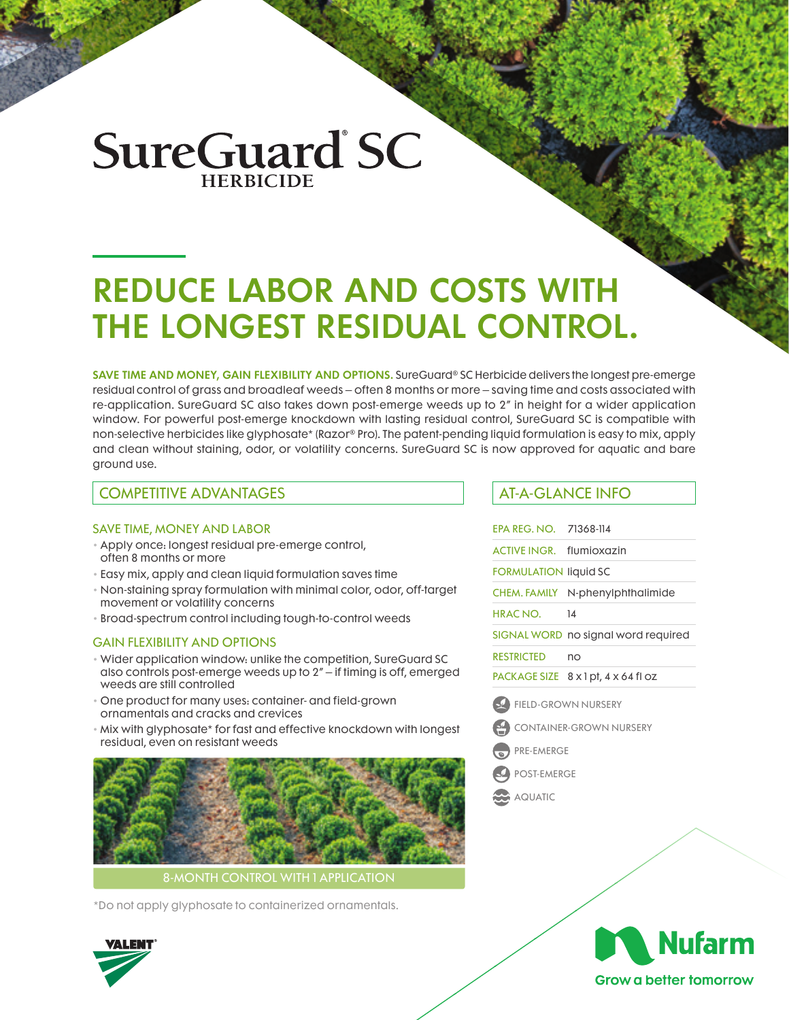# **SureGuard SC**

# REDUCE LABOR AND COSTS WITH THE LONGEST RESIDUAL CONTROL.

SAVE TIME AND MONEY, GAIN FLEXIBILITY AND OPTIONS. SureGuard® SC Herbicide delivers the longest pre-emerge residual control of grass and broadleaf weeds – often 8 months or more – saving time and costs associated with re-application. SureGuard SC also takes down post-emerge weeds up to 2" in height for a wider application window. For powerful post-emerge knockdown with lasting residual control, SureGuard SC is compatible with non-selective herbicides like glyphosate\* (Razor® Pro). The patent-pending liquid formulation is easy to mix, apply and clean without staining, odor, or volatility concerns. SureGuard SC is now approved for aquatic and bare ground use.

### COMPETITIVE ADVANTAGES AT-A-GLANCE INFO

#### SAVE TIME, MONEY AND LABOR

- Apply once: longest residual pre-emerge control, often 8 months or more
- Easy mix, apply and clean liquid formulation saves time
- Non-staining spray formulation with minimal color, odor, off-target movement or volatility concerns
- Broad-spectrum control including tough-to-control weeds

#### GAIN FLEXIBILITY AND OPTIONS

- Wider application window: unlike the competition, SureGuard SC also controls post-emerge weeds up to 2" – if timing is off, emerged weeds are still controlled
- One product for many uses: container- and field-grown ornamentals and cracks and crevices
- Mix with glyphosate\* for fast and effective knockdown with longest residual, even on resistant weeds



8-MONTH CONTROL WITH 1 APPLICATION

\*Do not apply glyphosate to containerized ornamentals.

| EPA REG. NO. | 71368-114 |  |
|--------------|-----------|--|
|              |           |  |

ACTIVE INGR. flumioxazin

FORMULATION liquid SC

CHEM. FAMILY N-phenylphthalimide

HRAC NO. 14

SIGNAL WORD no signal word required

RESTRICTED no

PACKAGE SIZE 8 x 1 pt, 4 x 64 fl oz

- FIELD-GROWN NURSERY
- CONTAINER-GROWN NURSERY
- PRE-EMERGE
- POST-EMERGE
- AQUATIC



**Grow a better tomorrow**